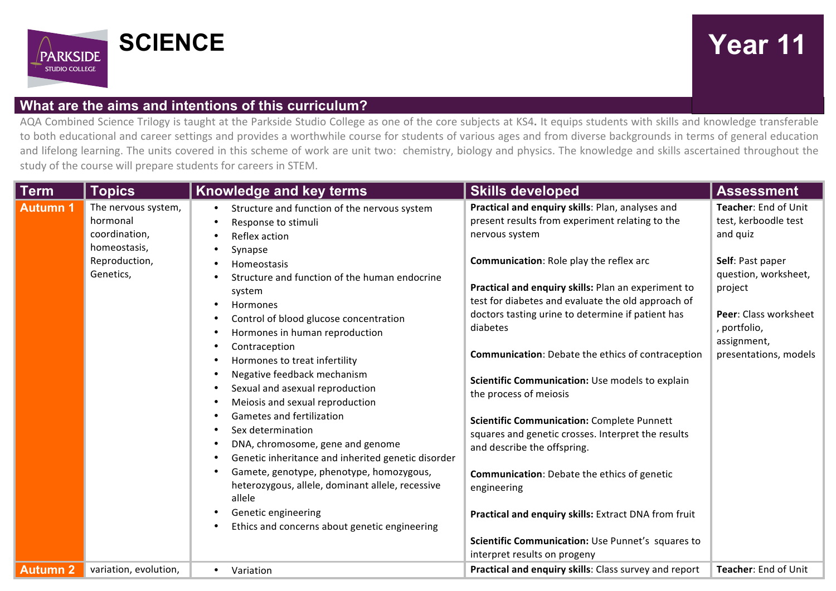

## **What are the aims and intentions of this curriculum?**

AQA Combined Science Trilogy is taught at the Parkside Studio College as one of the core subjects at KS4. It equips students with skills and knowledge transferable to both educational and career settings and provides a worthwhile course for students of various ages and from diverse backgrounds in terms of general education and lifelong learning. The units covered in this scheme of work are unit two: chemistry, biology and physics. The knowledge and skills ascertained throughout the study of the course will prepare students for careers in STEM.

| <b>Term</b>     | <b>Topics</b>                                                    | <b>Knowledge and key terms</b>                                                                                                                                                                                                                                                                                             | <b>Skills developed</b>                                                                                                                                                                                                                          | <b>Assessment</b>                                                                                                  |
|-----------------|------------------------------------------------------------------|----------------------------------------------------------------------------------------------------------------------------------------------------------------------------------------------------------------------------------------------------------------------------------------------------------------------------|--------------------------------------------------------------------------------------------------------------------------------------------------------------------------------------------------------------------------------------------------|--------------------------------------------------------------------------------------------------------------------|
| <b>Autumn 1</b> | The nervous system,<br>hormonal<br>coordination,<br>homeostasis, | Structure and function of the nervous system<br>Response to stimuli<br>$\bullet$<br>Reflex action<br>$\bullet$<br>Synapse<br>$\bullet$                                                                                                                                                                                     | Practical and enquiry skills: Plan, analyses and<br>present results from experiment relating to the<br>nervous system                                                                                                                            | Teacher: End of Unit<br>test, kerboodle test<br>and quiz                                                           |
|                 | Reproduction,<br>Genetics,                                       | Homeostasis<br>Structure and function of the human endocrine<br>$\bullet$<br>system<br>Hormones<br>$\bullet$<br>Control of blood glucose concentration<br>$\bullet$<br>Hormones in human reproduction<br>$\bullet$<br>Contraception<br>$\bullet$                                                                           | <b>Communication:</b> Role play the reflex arc<br>Practical and enquiry skills: Plan an experiment to<br>test for diabetes and evaluate the old approach of<br>doctors tasting urine to determine if patient has<br>diabetes                     | Self: Past paper<br>question, worksheet,<br>project<br><b>Peer:</b> Class worksheet<br>, portfolio,<br>assignment, |
|                 |                                                                  | Hormones to treat infertility<br>$\bullet$<br>Negative feedback mechanism<br>$\bullet$<br>Sexual and asexual reproduction<br>$\bullet$<br>Meiosis and sexual reproduction<br>$\bullet$<br><b>Gametes and fertilization</b><br>$\bullet$<br>Sex determination<br>$\bullet$<br>DNA, chromosome, gene and genome<br>$\bullet$ | <b>Communication:</b> Debate the ethics of contraception<br>Scientific Communication: Use models to explain<br>the process of meiosis<br><b>Scientific Communication: Complete Punnett</b><br>squares and genetic crosses. Interpret the results | presentations, models                                                                                              |
|                 |                                                                  | Genetic inheritance and inherited genetic disorder<br>$\bullet$<br>Gamete, genotype, phenotype, homozygous,<br>$\bullet$<br>heterozygous, allele, dominant allele, recessive<br>allele<br>Genetic engineering<br>$\bullet$<br>Ethics and concerns about genetic engineering<br>$\bullet$                                   | and describe the offspring.<br><b>Communication:</b> Debate the ethics of genetic<br>engineering<br>Practical and enquiry skills: Extract DNA from fruit<br>Scientific Communication: Use Punnet's squares to<br>interpret results on progeny    |                                                                                                                    |
| <b>Autumn 2</b> | variation, evolution,                                            | Variation<br>$\bullet$                                                                                                                                                                                                                                                                                                     | Practical and enquiry skills: Class survey and report                                                                                                                                                                                            | Teacher: End of Unit                                                                                               |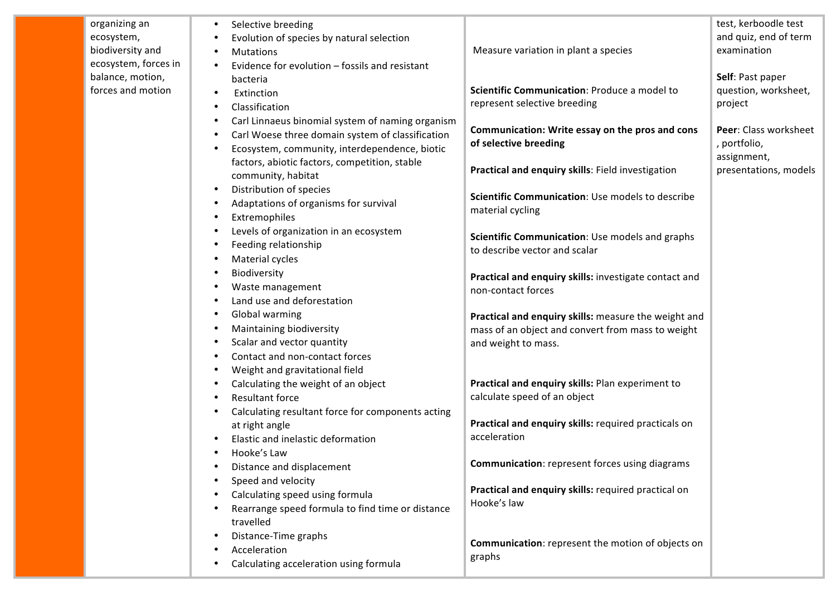| organizing an<br>ecosystem,<br>biodiversity and<br>ecosystem, forces in<br>balance, motion, | Selective breeding<br>Evolution of species by natural selection<br><b>Mutations</b><br>Evidence for evolution - fossils and resistant                 | Measure variation in plant a species                                                                      | test, kerboodle test<br>and quiz, end of term<br>examination<br>Self: Past paper |
|---------------------------------------------------------------------------------------------|-------------------------------------------------------------------------------------------------------------------------------------------------------|-----------------------------------------------------------------------------------------------------------|----------------------------------------------------------------------------------|
| forces and motion                                                                           | bacteria<br>Extinction<br>Classification                                                                                                              | Scientific Communication: Produce a model to<br>represent selective breeding                              | question, worksheet,<br>project                                                  |
|                                                                                             | Carl Linnaeus binomial system of naming organism<br>Carl Woese three domain system of classification<br>Ecosystem, community, interdependence, biotic | Communication: Write essay on the pros and cons<br>of selective breeding                                  | Peer: Class worksheet<br>, portfolio,                                            |
|                                                                                             | factors, abiotic factors, competition, stable<br>community, habitat<br>Distribution of species                                                        | Practical and enquiry skills: Field investigation                                                         | assignment,<br>presentations, models                                             |
|                                                                                             | Adaptations of organisms for survival<br>Extremophiles                                                                                                | Scientific Communication: Use models to describe<br>material cycling                                      |                                                                                  |
|                                                                                             | Levels of organization in an ecosystem<br>Feeding relationship<br>Material cycles                                                                     | Scientific Communication: Use models and graphs<br>to describe vector and scalar                          |                                                                                  |
|                                                                                             | Biodiversity<br>Waste management<br>Land use and deforestation                                                                                        | Practical and enquiry skills: investigate contact and<br>non-contact forces                               |                                                                                  |
|                                                                                             | Global warming<br>Maintaining biodiversity                                                                                                            | Practical and enquiry skills: measure the weight and<br>mass of an object and convert from mass to weight |                                                                                  |
|                                                                                             | Scalar and vector quantity<br>Contact and non-contact forces<br>Weight and gravitational field                                                        | and weight to mass.                                                                                       |                                                                                  |
|                                                                                             | Calculating the weight of an object<br><b>Resultant force</b>                                                                                         | Practical and enquiry skills: Plan experiment to<br>calculate speed of an object                          |                                                                                  |
|                                                                                             | Calculating resultant force for components acting<br>at right angle<br>Elastic and inelastic deformation                                              | Practical and enquiry skills: required practicals on<br>acceleration                                      |                                                                                  |
|                                                                                             | Hooke's Law<br>Distance and displacement<br>Speed and velocity                                                                                        | <b>Communication:</b> represent forces using diagrams                                                     |                                                                                  |
|                                                                                             | Calculating speed using formula<br>Rearrange speed formula to find time or distance<br>travelled                                                      | Practical and enquiry skills: required practical on<br>Hooke's law                                        |                                                                                  |
|                                                                                             | Distance-Time graphs<br>Acceleration<br>Calculating acceleration using formula                                                                        | Communication: represent the motion of objects on<br>graphs                                               |                                                                                  |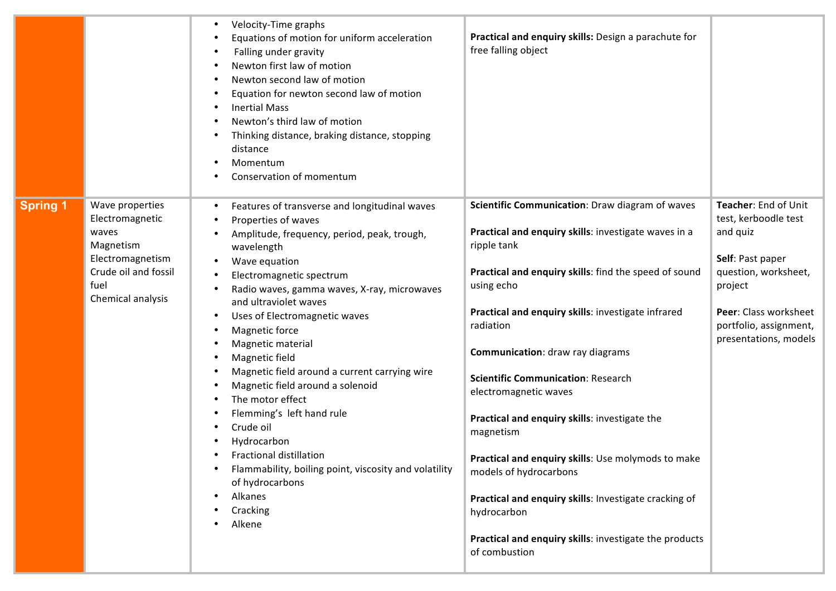|                 |                                                                                                                                   | Velocity-Time graphs<br>Equations of motion for uniform acceleration<br>Falling under gravity<br>Newton first law of motion<br>Newton second law of motion<br>Equation for newton second law of motion<br><b>Inertial Mass</b><br>Newton's third law of motion<br>Thinking distance, braking distance, stopping<br>distance<br>Momentum<br>Conservation of momentum                                                                                                                                                                                                                                                                                        | Practical and enquiry skills: Design a parachute for<br>free falling object                                                                                                                                                                                                                                                                                                                                                                                                                                                                                                                                                                                                        |                                                                                                                                                                                             |
|-----------------|-----------------------------------------------------------------------------------------------------------------------------------|------------------------------------------------------------------------------------------------------------------------------------------------------------------------------------------------------------------------------------------------------------------------------------------------------------------------------------------------------------------------------------------------------------------------------------------------------------------------------------------------------------------------------------------------------------------------------------------------------------------------------------------------------------|------------------------------------------------------------------------------------------------------------------------------------------------------------------------------------------------------------------------------------------------------------------------------------------------------------------------------------------------------------------------------------------------------------------------------------------------------------------------------------------------------------------------------------------------------------------------------------------------------------------------------------------------------------------------------------|---------------------------------------------------------------------------------------------------------------------------------------------------------------------------------------------|
| <b>Spring 1</b> | Wave properties<br>Electromagnetic<br>waves<br>Magnetism<br>Electromagnetism<br>Crude oil and fossil<br>fuel<br>Chemical analysis | Features of transverse and longitudinal waves<br>Properties of waves<br>Amplitude, frequency, period, peak, trough,<br>wavelength<br>Wave equation<br>Electromagnetic spectrum<br>Radio waves, gamma waves, X-ray, microwaves<br>and ultraviolet waves<br>Uses of Electromagnetic waves<br>Magnetic force<br>Magnetic material<br>Magnetic field<br>Magnetic field around a current carrying wire<br>Magnetic field around a solenoid<br>The motor effect<br>Flemming's left hand rule<br>Crude oil<br>Hydrocarbon<br>Fractional distillation<br>Flammability, boiling point, viscosity and volatility<br>of hydrocarbons<br>Alkanes<br>Cracking<br>Alkene | Scientific Communication: Draw diagram of waves<br>Practical and enquiry skills: investigate waves in a<br>ripple tank<br>Practical and enquiry skills: find the speed of sound<br>using echo<br>Practical and enquiry skills: investigate infrared<br>radiation<br><b>Communication:</b> draw ray diagrams<br><b>Scientific Communication: Research</b><br>electromagnetic waves<br>Practical and enquiry skills: investigate the<br>magnetism<br>Practical and enquiry skills: Use molymods to make<br>models of hydrocarbons<br>Practical and enquiry skills: Investigate cracking of<br>hydrocarbon<br>Practical and enquiry skills: investigate the products<br>of combustion | Teacher: End of Unit<br>test, kerboodle test<br>and quiz<br>Self: Past paper<br>question, worksheet,<br>project<br>Peer: Class worksheet<br>portfolio, assignment,<br>presentations, models |